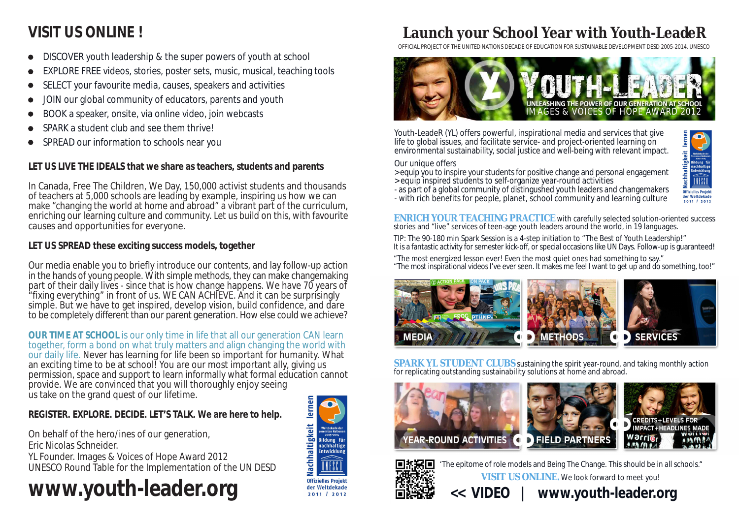# **Launch your School Year with Youth-LeadeR**

Youth-LeadeR (YL) offers powerful, inspirational media and services that give life to global issues, and facilitate service- and project-oriented learning on environmental sustainability, social justice and well-being with relevant impact.

Our unique offers

- > equip you to inspire your students for positive change and personal engagement
- > equip inspired students to self-organize year-round activities
- as part of a global community of distingushed youth leaders and changemakers
- with rich benefits for people, planet, school community and learning culture

**SPARK YL STUDENT CLUBS** sustaining the spirit year-round, and taking monthly action for replicating outstanding sustainability solutions at home and abroad.











"The epitome of role models and Being The Change. This should be in all schools." **VISIT US ONLINE.** We look forward to meet you!

### **<< VIDEO | www.youth-leader.org**

**ENRICH YOUR TEACHING PRACTICE** with carefully selected solution-oriented success stories and "live" services of teen-age youth leaders around the world, in 19 languages.

TIP: The 90-180 min Spark Session is a 4-step initiation to "The Best of Youth Leadership!" It is a fantastic activity for semester kick-off, or special occasions like UN Days. Follow-up is guaranteed!

"The most energized lesson ever! Even the most quiet ones had something to say." "The most inspirational videos I've ever seen. It makes me feel I want to get up and do something, too!"



OFFICIAL PROJECT OF THE UNITED NATIONS DECADE OF EDUCATION FOR SUSTAINABLE DEVELOPMENT DESD 2005-2014. UNESCO



- DISCOVER youth leadership & the super powers of youth at school
- EXPLORE FREE videos, stories, poster sets, music, musical, teaching tools
- SELECT your favourite media, causes, speakers and activities
- JOIN our global community of educators, parents and youth
- BOOK a speaker, onsite, via online video, join webcasts
- SPARK a student club and see them thrive!
- SPREAD our information to schools near you

# **VISIT US ONLINE !**

**LET US LIVE THE IDEALS that we share as teachers, students and parents**

In Canada, Free The Children, We Day, 150,000 activist students and thousands of teachers at 5,000 schools are leading by example, inspiring us how we can make "changing the world at home and abroad" a vibrant part of the curriculum, enriching our learning culture and community. Let us build on this, with favourite causes and opportunities for everyone.

**LET US SPREAD these exciting success models, together**

Our media enable you to briefly introduce our contents, and lay follow-up action in the hands of young people. With simple methods, they can make changemaking part of their daily lives - since that is how change happens. We have 70 years of "fixing everything" in front of us. WE CAN ACHIEVE. And it can be surprisingly simple. But we have to get inspired, develop vision, build confidence, and dare to be completely different than our parent generation. How else could we achieve?

**OUR TIME AT SCHOOL** is our only time in life that all our generation CAN learn together, form a bond on what truly matters and align changing the world with our daily life. Never has learning for life been so important for humanity. What an exciting time to be at school! You are our most important ally, giving us permission, space and support to learn informally what formal education cannot provide. We are convinced that you will thoroughly enjoy seeing us take on the grand quest of our lifetime.

**REGISTER. EXPLORE. DECIDE. LET'S TALK. We are here to help.**

On behalf of the hero/ines of our generation, Eric Nicolas Schneider. YL Founder. Images & Voices of Hope Award 2012 UNESCO Round Table for the Implementation of the UN DESD

# **www.youth-leader.org**

### Nachhaltigkeit ildung fü nachhaltige<br>Entwicklung **Offizielles Projekt** der Weltdekade 2011 / 2012